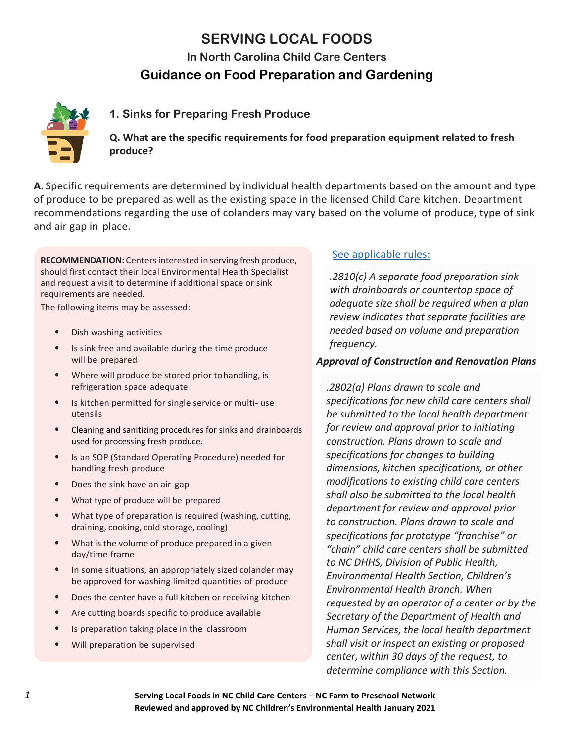# **SERVING LOCAL FOODS**

**In North Carolina Child Care Centers**

## **Guidance on Food Preparation and Gardening**



## **1. Sinks for Preparing Fresh Produce**

**Q. What are the specific requirements for food preparation equipment related to fresh produce?**

**A.** Specific requirements are determined by individual health departments based on the amount and type of produce to be prepared as well as the existing space in the licensed Child Care kitchen. Department recommendations regarding the use of colanders may vary based on the volume of produce, type of sink and air gap in place.

**RECOMMENDATION:** Centersinterested in serving fresh produce, should first contact their local Environmental Health Specialist and request a visit to determine if additional space or sink requirements are needed.

The following items may be assessed:

- Dish washing activities
- Is sink free and available during the time produce will be prepared
- Where will produce be stored prior tohandling, is refrigeration space adequate
- Is kitchen permitted for single service or multi- use utensils
- Cleaning and sanitizing procedures for sinks and drainboards used for processing fresh produce.
- Is an SOP (Standard Operating Procedure) needed for handling fresh produce
- Does the sink have an air gap
- What type of produce will be prepared
- What type of preparation is required (washing, cutting, draining, cooking, cold storage, cooling)
- What is the volume of produce prepared in a given day/time frame
- In some situations, an appropriately sized colander may be approved for washing limited quantities of produce
- Does the center have a full kitchen or receiving kitchen
- Are cutting boards specific to produce available
- Is preparation taking place in the classroom
- Will preparation be supervised

#### [See applicable rules:](https://ehs.ncpublichealth.com/docs/rules/401432-1-SanitationRulesForm.pdf)

*.2810(c) A separate food preparation sink with drainboards or countertop space of adequate size shall be required when a plan review indicates that separate facilities are needed based on volume and preparation frequency.*

#### *Approval of Construction and Renovation Plans*

*.2802(a) Plans drawn to scale and specifications for new child care centers shall be submitted to the local health department for review and approval prior to initiating construction. Plans drawn to scale and specifications for changes to building dimensions, kitchen specifications, or other modifications to existing child care centers shall also be submitted to the local health department for review and approval prior to construction. Plans drawn to scale and specifications for prototype "franchise" or "chain" child care centers shall be submitted to NC DHHS, Division of Public Health, Environmental Health Section, Children's Environmental Health Branch. When requested by an operator of a center or by the Secretary of the Department of Health and Human Services, the local health department shall visit or inspect an existing or proposed center, within 30 days of the request, to determine compliance with this Section.*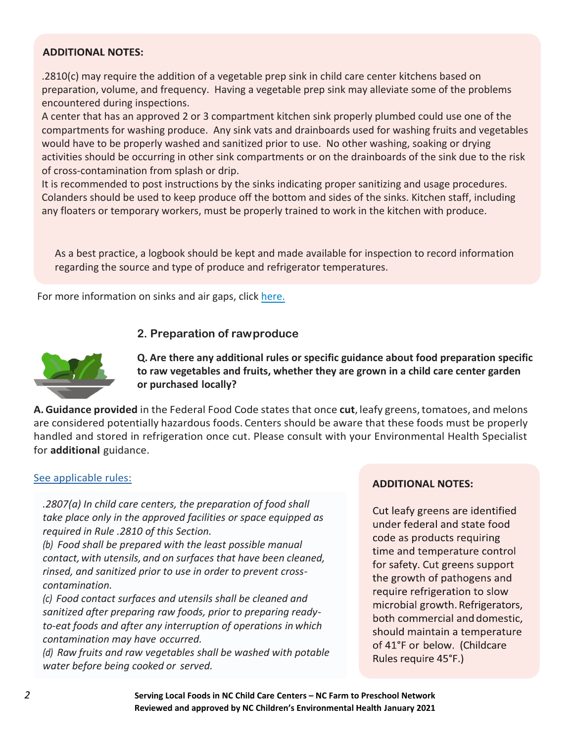#### **ADDITIONAL NOTES:**

.2810(c) may require the addition of a vegetable prep sink in child care center kitchens based on preparation, volume, and frequency. Having a vegetable prep sink may alleviate some of the problems encountered during inspections.

A center that has an approved 2 or 3 compartment kitchen sink properly plumbed could use one of the compartments for washing produce. Any sink vats and drainboards used for washing fruits and vegetables would have to be properly washed and sanitized prior to use. No other washing, soaking or drying activities should be occurring in other sink compartments or on the drainboards of the sink due to the risk of cross-contamination from splash or drip.

It is recommended to post instructions by the sinks indicating proper sanitizing and usage procedures. Colanders should be used to keep produce off the bottom and sides of the sinks. Kitchen staff, including any floaters or temporary workers, must be properly trained to work in the kitchen with produce.

As a best practice, a logbook should be kept and made available for inspection to record information regarding the source and type of produce and refrigerator temperatures.

For more information on sinks and air gaps, click [here](https://cefs.ncsu.edu/wp-content/uploads/Air-Gap-3-compartment-sink-diagrams.pdf).

#### **2. Preparation of rawproduce**



**Q. Are there any additional rules or specific guidance about food preparation specific to raw vegetables and fruits, whether they are grown in a child care center garden or purchased locally?**

**A.Guidance provided** in the Federal Food Code states that once **cut**, leafy greens,tomatoes, and melons are considered potentially hazardous foods. Centers should be aware that these foods must be properly handled and stored in refrigeration once cut. Please consult with your Environmental Health Specialist for **additional** guidance.

#### [See applicable rules:](https://ehs.ncpublichealth.com/docs/rules/401432-1-SanitationRulesForm.pdf)

*.2807(a) In child care centers, the preparation of food shall take place only in the approved facilities or space equipped as required in Rule .2810 of this Section.*

*(b) Food shall be prepared with the least possible manual contact,with utensils, and on surfaces that have been cleaned, rinsed, and sanitized prior to use in order to prevent crosscontamination.*

*(c) Food contact surfaces and utensils shall be cleaned and sanitized after preparing raw foods, prior to preparing readyto-eat foods and after any interruption of operations in which contamination may have occurred.*

*(d) Raw fruits and raw vegetables shall be washed with potable water before being cooked or served.*

#### **ADDITIONAL NOTES:**

Cut leafy greens are identified under federal and state food code as products requiring time and temperature control for safety. Cut greens support the growth of pathogens and require refrigeration to slow microbial growth. Refrigerators, both commercial and domestic, should maintain a temperature of 41°F or below. (Childcare Rules require 45°F.)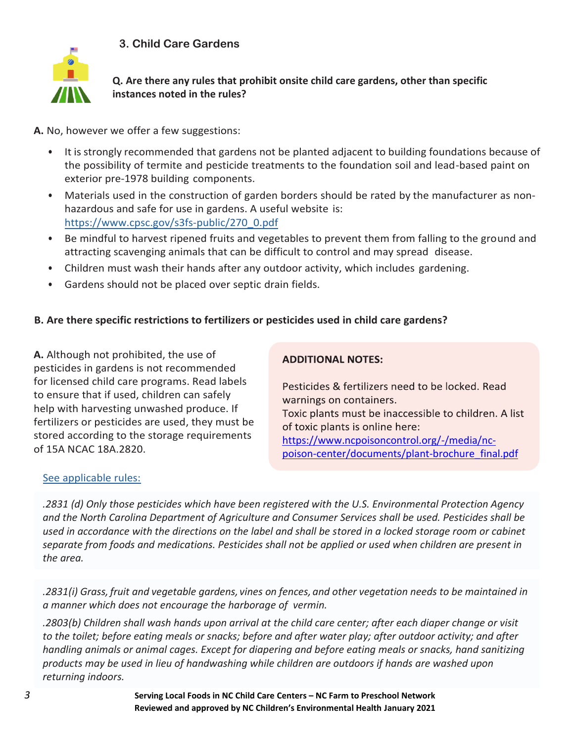**3. Child Care Gardens**



**Q. Are there any rules that prohibit onsite child care gardens, other than specific instances noted in the rules?**

**A.** No, however we offer a few suggestions:

- It is strongly recommended that gardens not be planted adjacent to building foundations because of the possibility of termite and pesticide treatments to the foundation soil and lead-based paint on exterior pre-1978 building components.
- Materials used in the construction of garden borders should be rated by the manufacturer as nonhazardous and safe for use in gardens. A useful website is: [https://www.cpsc.gov/s3fs-public/270\\_0.pdf](https://www.cpsc.gov/s3fs-public/270_0.pdf)
- Be mindful to harvest ripened fruits and vegetables to prevent them from falling to the ground and attracting scavenging animals that can be difficult to control and may spread disease.
- Children must wash their hands after any outdoor activity, which includes gardening.
- Gardens should not be placed over septic drain fields.

## **B. Are there specific restrictions to fertilizers or pesticides used in child care gardens?**

**A.** Although not prohibited, the use of pesticides in gardens is not recommended for licensed child care programs. Read labels to ensure that if used, children can safely help with harvesting unwashed produce. If fertilizers or pesticides are used, they must be stored according to the storage requirements of 15A NCAC 18A.2820.

## **ADDITIONAL NOTES:**

Pesticides & fertilizers need to be locked. Read warnings on containers. Toxic plants must be inaccessible to children. A list of toxic plants is online here: [https://www.ncpoisoncontrol.org/-/media/nc](https://www.ncpoisoncontrol.org/-/media/nc-poison-center/documents/plant-brochure_final.pdf)[poison-center/documents/plant-brochure\\_final.pdf](https://www.ncpoisoncontrol.org/-/media/nc-poison-center/documents/plant-brochure_final.pdf)

## [See applicable rules:](https://ehs.ncpublichealth.com/docs/rules/401432-1-SanitationRulesForm.pdf)

*.2831 (d) Only those pesticides which have been registered with the U.S. Environmental Protection Agency and the North Carolina Department of Agriculture and Consumer Services shall be used. Pesticides shall be used in accordance with the directions on the label and shall be stored in a locked storage room or cabinet separate from foods and medications. Pesticides shall not be applied or used when children are present in the area.*

*.2831(i) Grass,fruit and vegetable gardens, vines on fences, and other vegetation needs to be maintained in a manner which does not encourage the harborage of vermin.*

*.2803(b) Children shall wash hands upon arrival at the child care center; after each diaper change or visit to the toilet; before eating meals or snacks; before and after water play; after outdoor activity; and after handling animals or animal cages. Except for diapering and before eating meals or snacks, hand sanitizing products may be used in lieu of handwashing while children are outdoors if hands are washed upon returning indoors.*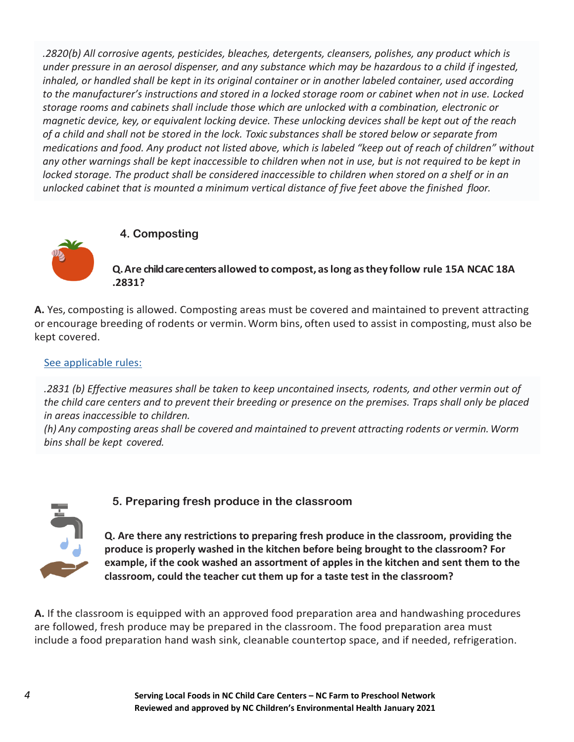*.2820(b) All corrosive agents, pesticides, bleaches, detergents, cleansers, polishes, any product which is under pressure in an aerosol dispenser, and any substance which may be hazardous to a child if ingested, inhaled, or handled shall be kept in its original container or in another labeled container, used according to the manufacturer's instructions and stored in a locked storage room or cabinet when not in use. Locked storage rooms and cabinets shall include those which are unlocked with a combination, electronic or magnetic device, key, or equivalent locking device. These unlocking devices shall be kept out of the reach of a child and shall not be stored in the lock. Toxic substances shall be stored below or separate from medications and food. Any product not listed above, which is labeled "keep out of reach of children" without any other warnings shall be kept inaccessible to children when not in use, but is not required to be kept in locked storage. The product shall be considered inaccessible to children when stored on a shelf or in an unlocked cabinet that is mounted a minimum vertical distance of five feet above the finished floor.*



### **4. Composting**

**Q.Are child care centers allowed to compost, aslong asthey follow rule 15A NCAC 18A .2831?**

**A.** Yes, composting is allowed. Composting areas must be covered and maintained to prevent attracting or encourage breeding of rodents or vermin.Worm bins, often used to assist in composting, must also be kept covered.

### [See applicable rules:](https://ehs.ncpublichealth.com/docs/rules/401432-1-SanitationRulesForm.pdf)

*.2831 (b) Effective measures shall be taken to keep uncontained insects, rodents, and other vermin out of the child care centers and to prevent their breeding or presence on the premises. Traps shall only be placed in areas inaccessible to children.*

*(h) Any composting areas shall be covered and maintained to prevent attracting rodents or vermin.Worm bins shall be kept covered.*



## **5. Preparing fresh produce in the classroom**

**Q. Are there any restrictions to preparing fresh produce in the classroom, providing the produce is properly washed in the kitchen before being brought to the classroom? For example, if the cook washed an assortment of apples in the kitchen and sent them to the classroom, could the teacher cut them up for a taste test in the classroom?**

**A.** If the classroom is equipped with an approved food preparation area and handwashing procedures are followed, fresh produce may be prepared in the classroom. The food preparation area must include a food preparation hand wash sink, cleanable countertop space, and if needed, refrigeration.